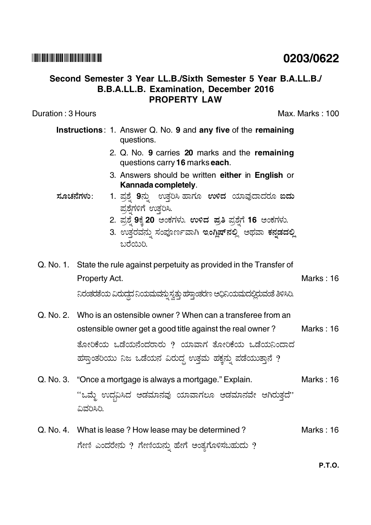## Second Semester 3 Year LL.B./Sixth Semester 5 Year B.A.LL.B./ **B.B.A.LL.B. Examination. December 2016 PROPERTY LAW**

Duration: 3 Hours

Max. Marks: 100

- Instructions: 1. Answer Q. No. 9 and any five of the remaining questions.
	- 2. Q. No. 9 carries 20 marks and the remaining questions carry 16 marks each.
	- 3. Answers should be written either in English or Kannada completely.
- 1. ಪ್ರಶ್ನೆ 9ನ್ನು ಉತ್ತರಿಸಿ ಹಾಗೂ ಉಳಿದ ಯಾವುದಾದರೂ ಐದು <u>ಸೂಚನೆಗಳು:</u> ಪ್ರಶೆಗಳಿಗೆ ಉತ್ತರಿಸಿ.
	- 2. ಪ್ರಶ್ನೆ 9ಕ್ಕೆ 20 ಅಂಕಗಳು. ಉಳಿದ ಪ್ರತಿ ಪ್ರಶ್ನೆಗೆ 16 ಅಂಕಗಳು.
	- 3. ಉತ್ತರವನ್ನು ಸಂಪೂರ್ಣವಾಗಿ ಇಂಗ್ಲಿಷ್**ನಲ್ಲಿ ಅಥವಾ ಕನ್ನಡದಲ್ಲಿ** മുന്നാര
- Q. No. 1. State the rule against perpetuity as provided in the Transfer of Property Act.

Marks: 16

ನಿರಂತರತೆಯ ವಿರುದ್ಧದ ನಿಯಮಮ್ದು ಸ್ವತ್ತು ಹಸ್ತಾಂತರಣ ಆಧಿನಿಯಮದಲ್ಲಿರುವಂತೆ ತಿಳಿಸಿರಿ.

- Q. No. 2. Who is an ostensible owner? When can a transferee from an ostensible owner get a good title against the real owner? Marks: 16 ತೋರಿಕೆಯ ಒಡೆಯನೆಂದರಾರು ? ಯಾವಾಗ ತೋರಿಕೆಯ ಒಡೆಯನಿಂದಾದ ಹಸ್ತಾಂತರಿಯು ನಿಜ ಒಡೆಯನ ವಿರುದ್ಧ ಉತ್ತಮ ಹಕ್ಕನ್ನು ಪಡೆಯುತ್ತಾನೆ ?
- Q. No. 3. "Once a mortgage is always a mortgage." Explain. Marks: 16 "ಒಮ್ಮೆ ಉದ್ಭವಿಸಿದ ಅಡಮಾನವು ಯಾವಾಗಲೂ ಅಡಮಾನವೇ ಆಗಿರುತ್ತದೆ" ವಿವರಿಸಿರಿ.
- Q. No. 4. What is lease ? How lease may be determined ? Marks: 16 ಗೇಣಿ ಎಂದರೇನು ? ಗೇಣಿಯನ್ನು ಹೇಗೆ ಅಂತ್ಯಗೊಳಿಸಬಹುದು ?

**P.T.O.** 

## 0203/0622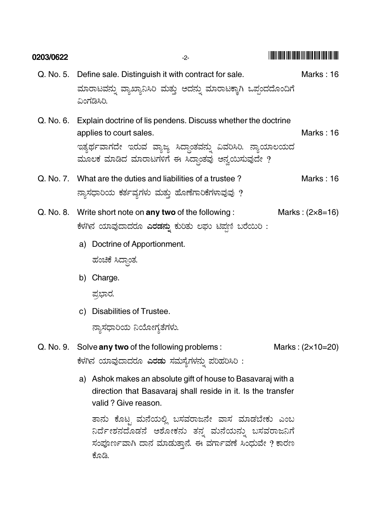| 0203/0622 | -2-                                                                                                                                                                                                           |                           |
|-----------|---------------------------------------------------------------------------------------------------------------------------------------------------------------------------------------------------------------|---------------------------|
| Q. No. 5. | Define sale. Distinguish it with contract for sale.                                                                                                                                                           | Marks: 16                 |
|           | ಮಾರಾಟವನ್ನು ವ್ಯಾಖ್ಯಾನಿಸಿರಿ ಮತ್ತು ಅದನ್ನು ಮಾರಾಟಕ್ಕಾಗಿ ಒಪ್ಪಂದದೊಂದಿಗೆ<br>ವಿಂಗಡಿಸಿರಿ.                                                                                                                               |                           |
| Q. No. 6. | Explain doctrine of lis pendens. Discuss whether the doctrine<br>applies to court sales.<br>ಇತ್ಯರ್ಥವಾಗದೇ ಇರುವ ವ್ಯಾಜ್ಯ ಸಿದ್ಧಾಂತವನ್ನು ವಿವರಿಸಿರಿ. ನ್ಯಾಯಾಲಯದ<br>ಮೂಲಕ ಮಾಡಿದ ಮಾರಾಟಗಳಿಗೆ ಈ ಸಿದ್ಧಾಂತವು ಅನ್ವಯಿಸುವುದೇ ? | Marks: 16                 |
|           | Q. No. 7. What are the duties and liabilities of a trustee?<br>ನ್ನಾಸಧಾರಿಯ ಕರ್ತವ್ಯಗಳು ಮತ್ತು ಹೊಣೆಗಾರಿಕೆಗಳಾವುವು ?                                                                                                | Marks: 16                 |
|           | Q. No. 8. Write short note on any two of the following:<br>ಕೆಳಗಿನ ಯಾವುದಾದರೂ <b>ಎರಡನ್ನು</b> ಕುರಿತು ಲಘು ಟಿಪ್ಪಣಿ ಬರೆಯಿರಿ :                                                                                       |                           |
|           | a) Doctrine of Apportionment.                                                                                                                                                                                 |                           |
|           | ಹಂಚಿಕೆ ಸಿದ್ಧಾಂತ.                                                                                                                                                                                              |                           |
|           | b) Charge.                                                                                                                                                                                                    |                           |
|           | ಪ್ರಭಾರ.                                                                                                                                                                                                       |                           |
|           | c) Disabilities of Trustee.                                                                                                                                                                                   |                           |
|           | ನ್ಯಾಸಧಾರಿಯ ನಿಯೋಗ್ಯತೆಗಳು.                                                                                                                                                                                      |                           |
| Q. No. 9. | Solve any two of the following problems:<br>ಕೆಳಗಿನ ಯಾವುದಾದರೂ <b>ಎರಡು</b> ಸಮಸ್ಯೆಗಳನ್ನು ಪರಿಹರಿಸಿರಿ :                                                                                                            | Marks: $(2 \times 10=20)$ |
|           | a) Ashok makes an absolute gift of house to Basavaraj with a<br>direction that Basavaraj shall reside in it. Is the transfer<br>valid ? Give reason.                                                          |                           |
|           | ತಾನು ಕೊಟ್ಟ ಮನೆಯಲ್ಲಿ ಬಸವರಾಜನೇ ವಾಸ ಮಾಡಬೇಕು ಎಂಬ<br>ನಿರ್ದೇಶನದೊಡನೆ ಅಶೋಕನು ತನ್ನ ಮನೆಯನ್ನು ಬಸವರಾಜನಿಗೆ<br>ಸಂಪೂರ್ಣವಾಗಿ ದಾನ ಮಾಡುತ್ತಾನೆ. ಈ ವರ್ಗಾವಣೆ ಸಿಂಧುವೇ ? ಕಾರಣ<br>ಕೊಡಿ.                                               |                           |